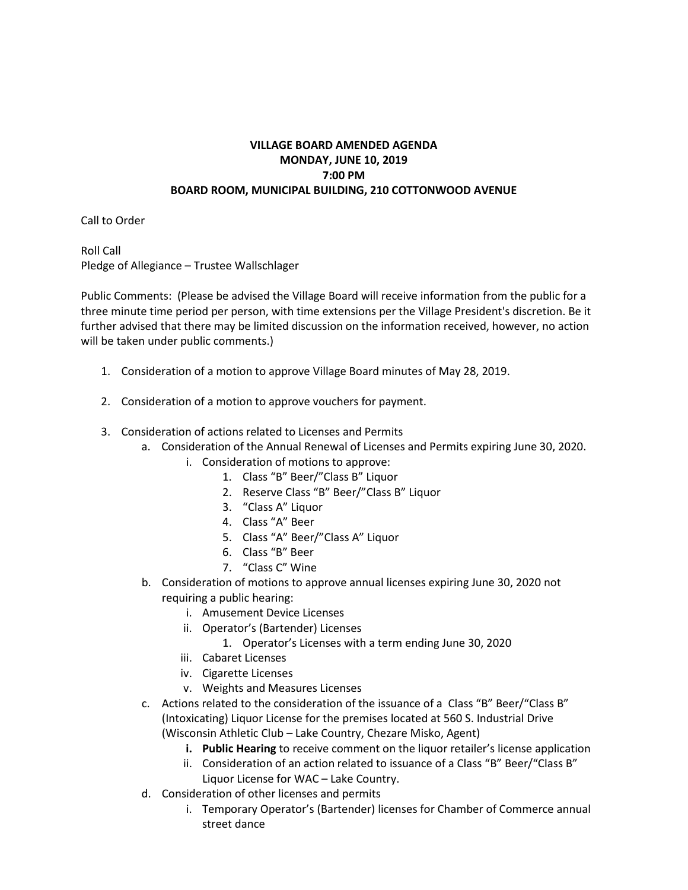## **VILLAGE BOARD AMENDED AGENDA MONDAY, JUNE 10, 2019 7:00 PM BOARD ROOM, MUNICIPAL BUILDING, 210 COTTONWOOD AVENUE**

Call to Order

Roll Call Pledge of Allegiance – Trustee Wallschlager

Public Comments: (Please be advised the Village Board will receive information from the public for a three minute time period per person, with time extensions per the Village President's discretion. Be it further advised that there may be limited discussion on the information received, however, no action will be taken under public comments.)

- 1. Consideration of a motion to approve Village Board minutes of May 28, 2019.
- 2. Consideration of a motion to approve vouchers for payment.
- 3. Consideration of actions related to Licenses and Permits
	- a. Consideration of the Annual Renewal of Licenses and Permits expiring June 30, 2020.
		- i. Consideration of motions to approve:
			- 1. Class "B" Beer/"Class B" Liquor
			- 2. Reserve Class "B" Beer/"Class B" Liquor
			- 3. "Class A" Liquor
			- 4. Class "A" Beer
			- 5. Class "A" Beer/"Class A" Liquor
			- 6. Class "B" Beer
			- 7. "Class C" Wine
	- b. Consideration of motions to approve annual licenses expiring June 30, 2020 not requiring a public hearing:
		- i. Amusement Device Licenses
		- ii. Operator's (Bartender) Licenses
			- 1. Operator's Licenses with a term ending June 30, 2020
		- iii. Cabaret Licenses
		- iv. Cigarette Licenses
		- v. Weights and Measures Licenses
	- c. Actions related to the consideration of the issuance of a Class "B" Beer/"Class B" (Intoxicating) Liquor License for the premises located at 560 S. Industrial Drive (Wisconsin Athletic Club – Lake Country, Chezare Misko, Agent)
		- **i. Public Hearing** to receive comment on the liquor retailer's license application
		- ii. Consideration of an action related to issuance of a Class "B" Beer/"Class B" Liquor License for WAC – Lake Country.
	- d. Consideration of other licenses and permits
		- i. Temporary Operator's (Bartender) licenses for Chamber of Commerce annual street dance